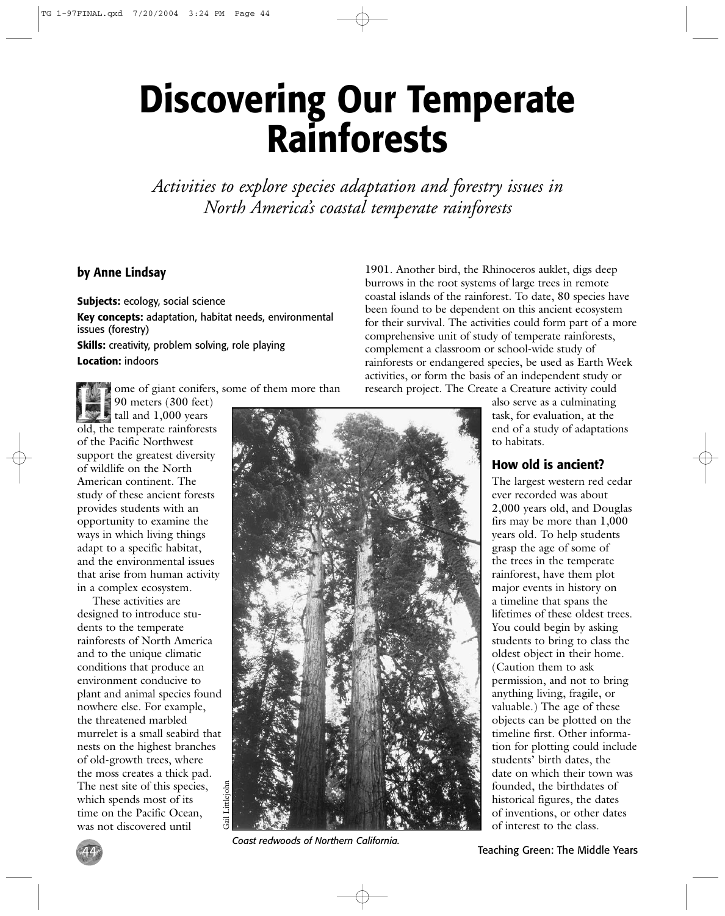# **Discovering Our Temperate Rainforests**

*Activities to explore species adaptation and forestry issues in North America's coastal temperate rainforests*

## **by Anne Lindsay**

**Subjects:** ecology, social science **Key concepts:** adaptation, habitat needs, environmental issues (forestry) **Skills:** creativity, problem solving, role playing **Location:** indoors

ome of giant conifers, some of them more than

190 meters (300 feet) tall and 1,000 years old, the temperate rainforests of the Pacific Northwest support the greatest diversity of wildlife on the North American continent. The study of these ancient forests provides students with an opportunity to examine the ways in which living things adapt to a specific habitat, and the environmental issues that arise from human activity in a complex ecosystem.

These activities are designed to introduce students to the temperate rainforests of North America and to the unique climatic conditions that produce an environment conducive to plant and animal species found nowhere else. For example, the threatened marbled murrelet is a small seabird that nests on the highest branches of old-growth trees, where the moss creates a thick pad. The nest site of this species, which spends most of its time on the Pacific Ocean, was not discovered until



*Coast redwoods of Northern California.*

1901. Another bird, the Rhinoceros auklet, digs deep burrows in the root systems of large trees in remote coastal islands of the rainforest. To date, 80 species have been found to be dependent on this ancient ecosystem for their survival. The activities could form part of a more comprehensive unit of study of temperate rainforests, complement a classroom or school-wide study of rainforests or endangered species, be used as Earth Week activities, or form the basis of an independent study or research project. The Create a Creature activity could

> also serve as a culminating task, for evaluation, at the end of a study of adaptations to habitats.

## **How old is ancient?**

The largest western red cedar ever recorded was about 2,000 years old, and Douglas firs may be more than 1,000 years old. To help students grasp the age of some of the trees in the temperate rainforest, have them plot major events in history on a timeline that spans the lifetimes of these oldest trees. You could begin by asking students to bring to class the oldest object in their home. (Caution them to ask permission, and not to bring anything living, fragile, or valuable.) The age of these objects can be plotted on the timeline first. Other information for plotting could include students' birth dates, the date on which their town was founded, the birthdates of historical figures, the dates of inventions, or other dates of interest to the class.

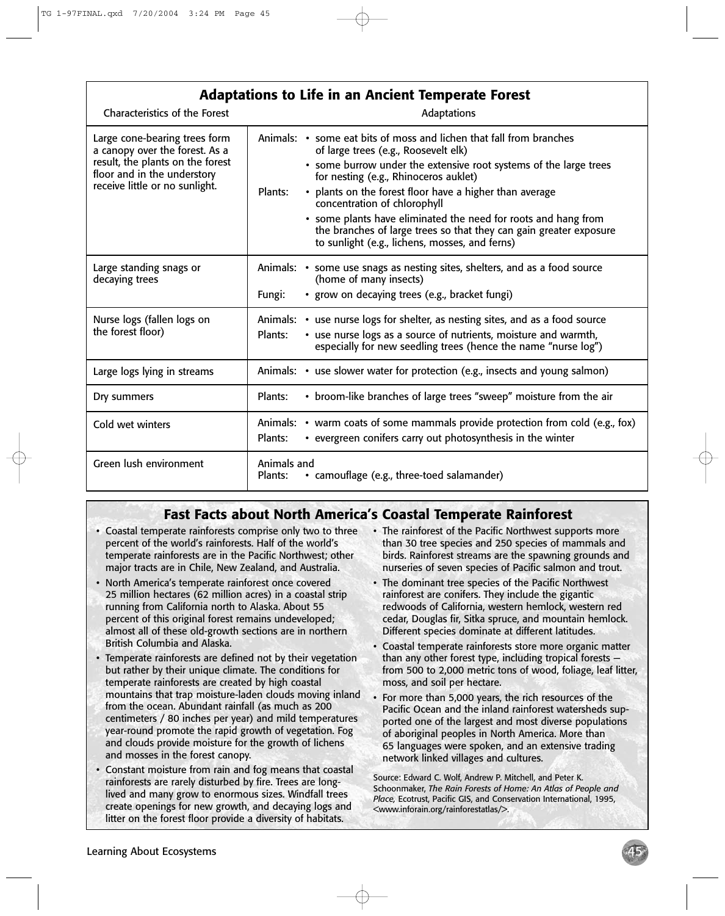| <b>Adaptations to Life in an Ancient Temperate Forest</b>                                                                                                            |                                                                                                                                                                                                                                                                                                                                                                                                                                                                                                                           |
|----------------------------------------------------------------------------------------------------------------------------------------------------------------------|---------------------------------------------------------------------------------------------------------------------------------------------------------------------------------------------------------------------------------------------------------------------------------------------------------------------------------------------------------------------------------------------------------------------------------------------------------------------------------------------------------------------------|
| <b>Characteristics of the Forest</b>                                                                                                                                 | Adaptations                                                                                                                                                                                                                                                                                                                                                                                                                                                                                                               |
| Large cone-bearing trees form<br>a canopy over the forest. As a<br>result, the plants on the forest<br>floor and in the understory<br>receive little or no sunlight. | Animals: • some eat bits of moss and lichen that fall from branches<br>of large trees (e.g., Roosevelt elk)<br>• some burrow under the extensive root systems of the large trees<br>for nesting (e.g., Rhinoceros auklet)<br>• plants on the forest floor have a higher than average<br>Plants:<br>concentration of chlorophyll<br>• some plants have eliminated the need for roots and hang from<br>the branches of large trees so that they can gain greater exposure<br>to sunlight (e.g., lichens, mosses, and ferns) |
| Large standing snags or<br>decaying trees                                                                                                                            | Animals: • some use snags as nesting sites, shelters, and as a food source<br>(home of many insects)<br>· grow on decaying trees (e.g., bracket fungi)<br>Fungi:                                                                                                                                                                                                                                                                                                                                                          |
| Nurse logs (fallen logs on<br>the forest floor)                                                                                                                      | Animals: • use nurse logs for shelter, as nesting sites, and as a food source<br>• use nurse logs as a source of nutrients, moisture and warmth,<br>Plants:<br>especially for new seedling trees (hence the name "nurse log")                                                                                                                                                                                                                                                                                             |
| Large logs lying in streams                                                                                                                                          | Animals: • use slower water for protection (e.g., insects and young salmon)                                                                                                                                                                                                                                                                                                                                                                                                                                               |
| Dry summers                                                                                                                                                          | • broom-like branches of large trees "sweep" moisture from the air<br>Plants:                                                                                                                                                                                                                                                                                                                                                                                                                                             |
| Cold wet winters                                                                                                                                                     | Animals: • warm coats of some mammals provide protection from cold (e.g., fox)<br>Plants:<br>• evergreen conifers carry out photosynthesis in the winter                                                                                                                                                                                                                                                                                                                                                                  |
| Green lush environment                                                                                                                                               | Animals and<br>• camouflage (e.g., three-toed salamander)<br>Plants:                                                                                                                                                                                                                                                                                                                                                                                                                                                      |

# **Fast Facts about North America's Coastal Temperate Rainforest**

- Coastal temperate rainforests comprise only two to three percent of the world's rainforests. Half of the world's temperate rainforests are in the Pacific Northwest; other major tracts are in Chile, New Zealand, and Australia.
- North America's temperate rainforest once covered 25 million hectares (62 million acres) in a coastal strip running from California north to Alaska. About 55 percent of this original forest remains undeveloped; almost all of these old-growth sections are in northern British Columbia and Alaska.
- Temperate rainforests are defined not by their vegetation but rather by their unique climate. The conditions for temperate rainforests are created by high coastal mountains that trap moisture-laden clouds moving inland from the ocean. Abundant rainfall (as much as 200 centimeters / 80 inches per year) and mild temperatures year-round promote the rapid growth of vegetation. Fog and clouds provide moisture for the growth of lichens and mosses in the forest canopy.
- Constant moisture from rain and fog means that coastal rainforests are rarely disturbed by fire. Trees are longlived and many grow to enormous sizes. Windfall trees create openings for new growth, and decaying logs and litter on the forest floor provide a diversity of habitats.
- The rainforest of the Pacific Northwest supports more than 30 tree species and 250 species of mammals and birds. Rainforest streams are the spawning grounds and nurseries of seven species of Pacific salmon and trout.
- The dominant tree species of the Pacific Northwest rainforest are conifers. They include the gigantic redwoods of California, western hemlock, western red cedar, Douglas fir, Sitka spruce, and mountain hemlock. Different species dominate at different latitudes.
- Coastal temperate rainforests store more organic matter than any other forest type, including tropical forests from 500 to 2,000 metric tons of wood, foliage, leaf litter, moss, and soil per hectare.
- For more than 5,000 years, the rich resources of the Pacific Ocean and the inland rainforest watersheds supported one of the largest and most diverse populations of aboriginal peoples in North America. More than 65 languages were spoken, and an extensive trading network linked villages and cultures.

Source: Edward C. Wolf, Andrew P. Mitchell, and Peter K. Schoonmaker, *The Rain Forests of Home: An Atlas of People and Place,* Ecotrust, Pacific GIS, and Conservation International, 1995, <www.inforain.org/rainforestatlas/>.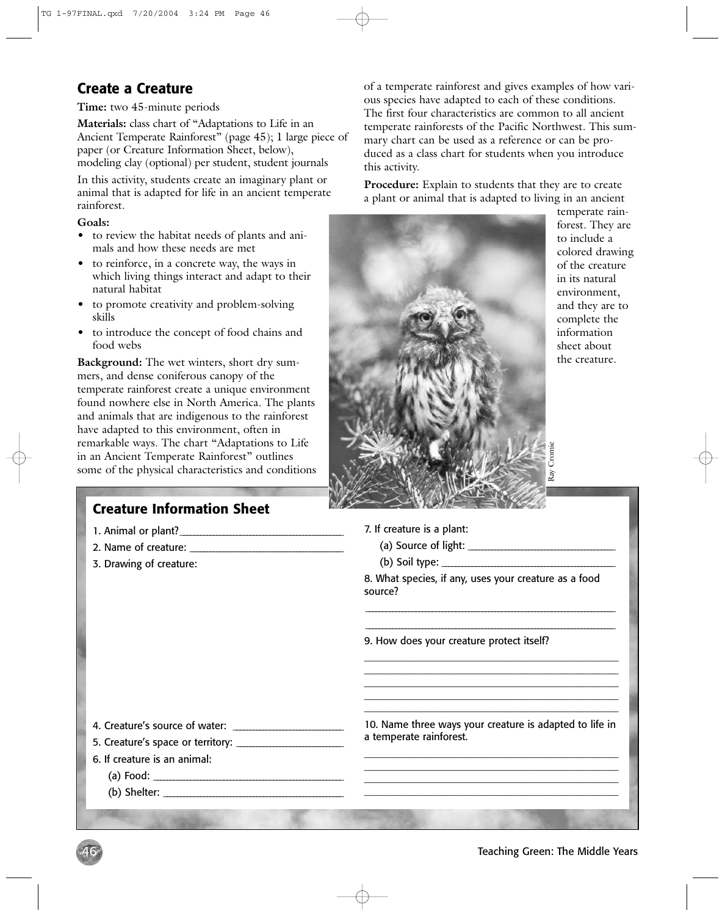## **Create a Creature**

**Time:** two 45-minute periods

**Materials:** class chart of "Adaptations to Life in an Ancient Temperate Rainforest" (page 45); 1 large piece of paper (or Creature Information Sheet, below), modeling clay (optional) per student, student journals

In this activity, students create an imaginary plant or animal that is adapted for life in an ancient temperate rainforest.

#### **Goals:**

- to review the habitat needs of plants and animals and how these needs are met
- to reinforce, in a concrete way, the ways in which living things interact and adapt to their natural habitat
- to promote creativity and problem-solving skills
- to introduce the concept of food chains and food webs

**Background:** The wet winters, short dry summers, and dense coniferous canopy of the temperate rainforest create a unique environment found nowhere else in North America. The plants and animals that are indigenous to the rainforest have adapted to this environment, often in remarkable ways. The chart "Adaptations to Life in an Ancient Temperate Rainforest" outlines some of the physical characteristics and conditions

## **Creature Information Sheet**

- 1. Animal or plant? \_ \_ \_ \_ \_ \_ \_ \_ \_ \_ \_ \_ \_ \_ \_ \_ \_ \_ \_ \_ \_ \_ \_ \_ \_ \_ \_ \_ \_ \_ \_ \_ \_ \_ \_ \_ \_ \_ \_ \_ \_ \_ \_ \_ \_ \_ \_ \_ \_
- 2. Name of creature:
- 3. Drawing of creature:

of a temperate rainforest and gives examples of how various species have adapted to each of these conditions. The first four characteristics are common to all ancient temperate rainforests of the Pacific Northwest. This summary chart can be used as a reference or can be produced as a class chart for students when you introduce this activity.

**Procedure:** Explain to students that they are to create a plant or animal that is adapted to living in an ancient



temperate rainforest. They are to include a colored drawing of the creature in its natural environment, and they are to complete the information sheet about the creature.

7. If creature is a plant:

- (a) Source of light: \_ \_ \_ \_ \_ \_ \_ \_ \_ \_ \_ \_ \_ \_ \_ \_ \_ \_ \_ \_ \_ \_ \_ \_ \_ \_ \_ \_ \_ \_ \_ \_ \_ \_ \_ \_ \_ \_ \_ \_ \_ \_ \_ \_
- (b) Soil type: \_ \_ \_ \_ \_ \_ \_ \_ \_ \_ \_ \_ \_ \_ \_ \_ \_ \_ \_ \_ \_ \_ \_ \_ \_ \_ \_ \_ \_ \_ \_ \_ \_ \_ \_ \_ \_ \_ \_ \_ \_ \_ \_ \_ \_ \_ \_ \_ \_ \_ \_ \_

8. What species, if any, uses your creature as a food source?

 \_ \_ \_ \_ \_ \_ \_ \_ \_ \_ \_ \_ \_ \_ \_ \_ \_ \_ \_ \_ \_ \_ \_ \_ \_ \_ \_ \_ \_ \_ \_ \_ \_ \_ \_ \_ \_ \_ \_ \_ \_ \_ \_ \_ \_ \_ \_ \_ \_ \_ \_ \_ \_ \_ \_ \_ \_ \_ \_ \_ \_ \_ \_ \_ \_ \_ \_ \_ \_ \_ \_ \_ \_ \_ \_ \_ \_ \_ \_ \_ \_ \_ \_ \_ \_ \_ \_ \_ \_ \_ \_ \_ \_ \_ \_ \_ \_ \_ \_ \_ \_ \_ \_ \_ \_ \_ \_ \_ \_ \_ \_ \_ \_ \_ \_ \_ \_ \_ \_ \_ \_ \_ \_ \_ \_ \_ \_ \_ \_ \_ \_ \_ \_ \_ \_ \_ \_ \_ \_ \_ \_ \_ \_ \_ \_ \_ \_ \_ \_ \_

\_\_\_\_\_\_\_\_\_\_\_\_\_\_\_\_\_\_\_\_\_\_\_\_\_\_\_\_\_\_\_\_\_\_\_\_\_\_\_\_\_\_\_\_\_\_\_\_\_\_ \_\_\_\_\_\_\_\_\_\_\_\_\_\_\_\_\_\_\_\_\_\_\_\_\_\_\_\_\_\_\_\_\_\_\_\_\_\_\_\_\_\_\_\_\_\_\_\_\_\_ \_\_\_\_\_\_\_\_\_\_\_\_\_\_\_\_\_\_\_\_\_\_\_\_\_\_\_\_\_\_\_\_\_\_\_\_\_\_\_\_\_\_\_\_\_\_\_\_\_\_ \_\_\_\_\_\_\_\_\_\_\_\_\_\_\_\_\_\_\_\_\_\_\_\_\_\_\_\_\_\_\_\_\_\_\_\_\_\_\_\_\_\_\_\_\_\_\_\_\_\_ \_\_\_\_\_\_\_\_\_\_\_\_\_\_\_\_\_\_\_\_\_\_\_\_\_\_\_\_\_\_\_\_\_\_\_\_\_\_\_\_\_\_\_\_\_\_\_\_\_\_

9. How does your creature protect itself?

4. Creature's source of water: \_ \_ \_ \_ \_ \_ \_ \_ \_ \_ \_ \_ \_ \_ \_ \_ \_ \_ \_ \_ \_ \_ \_ \_ \_ \_ \_ \_ \_ \_ \_ \_ \_

- 5. Creature's space or territory: \_ \_ \_ \_ \_ \_ \_ \_ \_ \_ \_ \_ \_ \_ \_ \_ \_ \_ \_ \_ \_ \_ \_ \_ \_ \_ \_ \_ \_ \_ \_ \_
- 6. If creature is an animal:
	- (a) Food: \_ \_ \_ \_ \_ \_ \_ \_ \_ \_ \_ \_ \_ \_ \_ \_ \_ \_ \_ \_ \_ \_ \_ \_ \_ \_ \_ \_ \_ \_ \_ \_ \_ \_ \_ \_ \_ \_ \_ \_ \_ \_ \_ \_ \_ \_ \_ \_ \_ \_ \_ \_ \_ \_ \_ \_ \_

46

 $(b)$  Shelter:

10. Name three ways your creature is adapted to life in a temperate rainforest.

\_\_\_\_\_\_\_\_\_\_\_\_\_\_\_\_\_\_\_\_\_\_\_\_\_\_\_\_\_\_\_\_\_\_\_\_\_\_\_\_\_\_\_\_\_\_\_\_\_\_ \_\_\_\_\_\_\_\_\_\_\_\_\_\_\_\_\_\_\_\_\_\_\_\_\_\_\_\_\_\_\_\_\_\_\_\_\_\_\_\_\_\_\_\_\_\_\_\_\_\_ \_\_\_\_\_\_\_\_\_\_\_\_\_\_\_\_\_\_\_\_\_\_\_\_\_\_\_\_\_\_\_\_\_\_\_\_\_\_\_\_\_\_\_\_\_\_\_\_\_\_ \_\_\_\_\_\_\_\_\_\_\_\_\_\_\_\_\_\_\_\_\_\_\_\_\_\_\_\_\_\_\_\_\_\_\_\_\_\_\_\_\_\_\_\_\_\_\_\_\_\_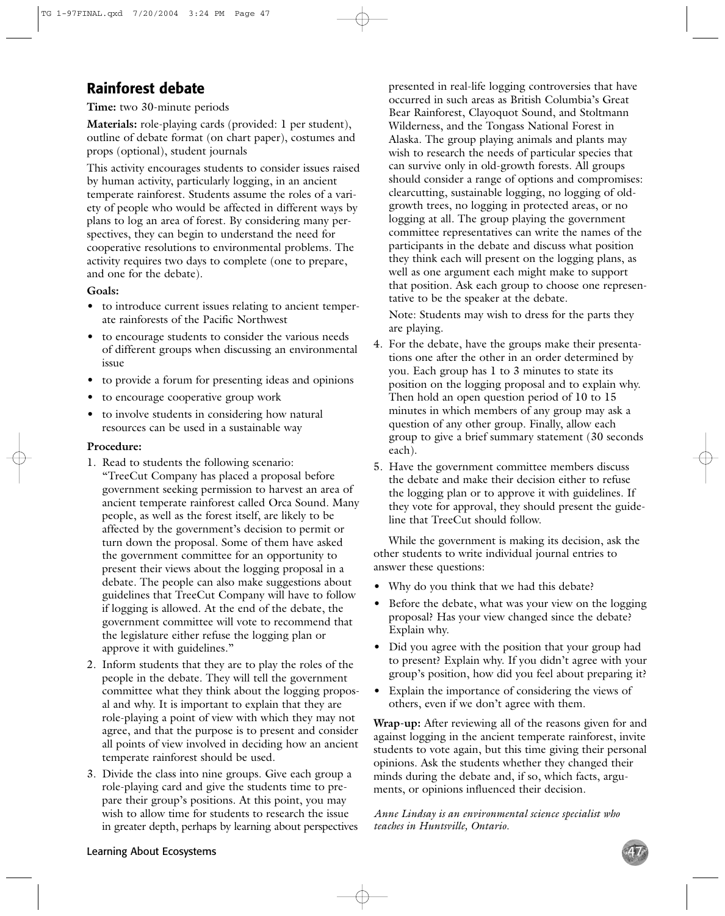## **Rainforest debate**

**Time:** two 30-minute periods

**Materials:** role-playing cards (provided: 1 per student), outline of debate format (on chart paper), costumes and props (optional), student journals

This activity encourages students to consider issues raised by human activity, particularly logging, in an ancient temperate rainforest. Students assume the roles of a variety of people who would be affected in different ways by plans to log an area of forest. By considering many perspectives, they can begin to understand the need for cooperative resolutions to environmental problems. The activity requires two days to complete (one to prepare, and one for the debate).

#### **Goals:**

- to introduce current issues relating to ancient temperate rainforests of the Pacific Northwest
- to encourage students to consider the various needs of different groups when discussing an environmental issue
- to provide a forum for presenting ideas and opinions
- to encourage cooperative group work
- to involve students in considering how natural resources can be used in a sustainable way

#### **Procedure:**

- 1. Read to students the following scenario: "TreeCut Company has placed a proposal before government seeking permission to harvest an area of ancient temperate rainforest called Orca Sound. Many people, as well as the forest itself, are likely to be affected by the government's decision to permit or turn down the proposal. Some of them have asked the government committee for an opportunity to present their views about the logging proposal in a debate. The people can also make suggestions about guidelines that TreeCut Company will have to follow if logging is allowed. At the end of the debate, the government committee will vote to recommend that the legislature either refuse the logging plan or approve it with guidelines."
- 2. Inform students that they are to play the roles of the people in the debate. They will tell the government committee what they think about the logging proposal and why. It is important to explain that they are role-playing a point of view with which they may not agree, and that the purpose is to present and consider all points of view involved in deciding how an ancient temperate rainforest should be used.
- 3. Divide the class into nine groups. Give each group a role-playing card and give the students time to prepare their group's positions. At this point, you may wish to allow time for students to research the issue in greater depth, perhaps by learning about perspectives

presented in real-life logging controversies that have occurred in such areas as British Columbia's Great Bear Rainforest, Clayoquot Sound, and Stoltmann Wilderness, and the Tongass National Forest in Alaska. The group playing animals and plants may wish to research the needs of particular species that can survive only in old-growth forests. All groups should consider a range of options and compromises: clearcutting, sustainable logging, no logging of oldgrowth trees, no logging in protected areas, or no logging at all. The group playing the government committee representatives can write the names of the participants in the debate and discuss what position they think each will present on the logging plans, as well as one argument each might make to support that position. Ask each group to choose one representative to be the speaker at the debate.

Note: Students may wish to dress for the parts they are playing.

- 4. For the debate, have the groups make their presentations one after the other in an order determined by you. Each group has 1 to 3 minutes to state its position on the logging proposal and to explain why. Then hold an open question period of 10 to 15 minutes in which members of any group may ask a question of any other group. Finally, allow each group to give a brief summary statement (30 seconds each).
- 5. Have the government committee members discuss the debate and make their decision either to refuse the logging plan or to approve it with guidelines. If they vote for approval, they should present the guideline that TreeCut should follow.

While the government is making its decision, ask the other students to write individual journal entries to answer these questions:

- Why do you think that we had this debate?
- Before the debate, what was your view on the logging proposal? Has your view changed since the debate? Explain why.
- Did you agree with the position that your group had to present? Explain why. If you didn't agree with your group's position, how did you feel about preparing it?
- Explain the importance of considering the views of others, even if we don't agree with them.

**Wrap-up:** After reviewing all of the reasons given for and against logging in the ancient temperate rainforest, invite students to vote again, but this time giving their personal opinions. Ask the students whether they changed their minds during the debate and, if so, which facts, arguments, or opinions influenced their decision.

*Anne Lindsay is an environmental science specialist who teaches in Huntsville, Ontario.*

### Learning About Ecosystems

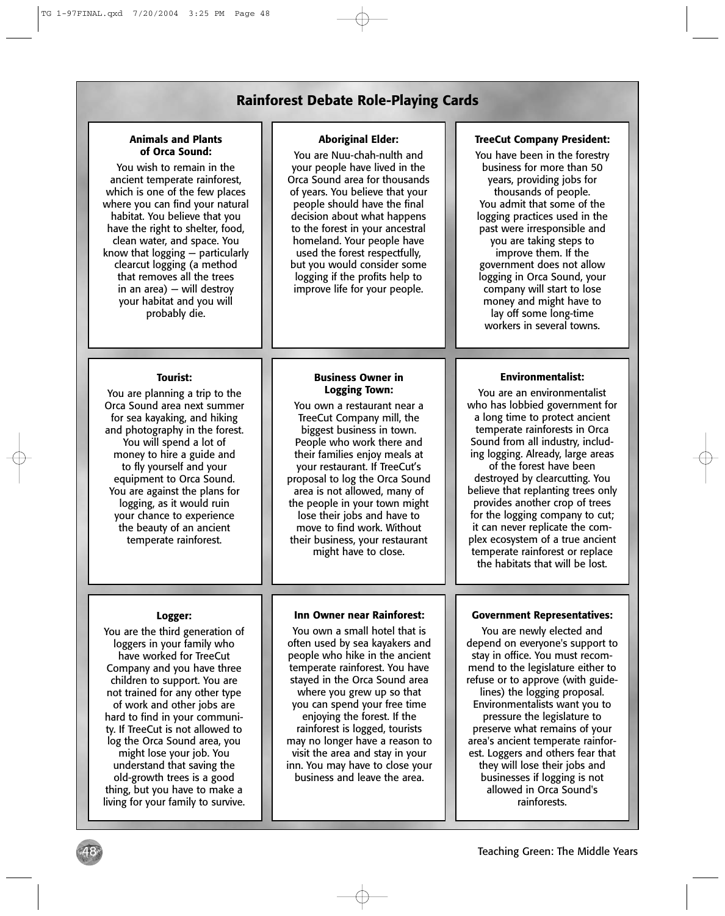## **Rainforest Debate Role-Playing Cards**

#### **Animals and Plants of Orca Sound:**

You wish to remain in the ancient temperate rainforest, which is one of the few places where you can find your natural habitat. You believe that you have the right to shelter, food, clean water, and space. You know that logging — particularly clearcut logging (a method that removes all the trees in an area) — will destroy your habitat and you will probably die.

#### **Aboriginal Elder:**

You are Nuu-chah-nulth and your people have lived in the Orca Sound area for thousands of years. You believe that your people should have the final decision about what happens to the forest in your ancestral homeland. Your people have used the forest respectfully, but you would consider some logging if the profits help to improve life for your people.

#### **TreeCut Company President:**

You have been in the forestry business for more than 50 years, providing jobs for thousands of people. You admit that some of the logging practices used in the past were irresponsible and you are taking steps to improve them. If the government does not allow logging in Orca Sound, your company will start to lose money and might have to lay off some long-time workers in several towns.

#### **Tourist:**

You are planning a trip to the Orca Sound area next summer for sea kayaking, and hiking and photography in the forest. You will spend a lot of money to hire a guide and to fly yourself and your equipment to Orca Sound. You are against the plans for logging, as it would ruin your chance to experience the beauty of an ancient temperate rainforest.

#### **Business Owner in Logging Town:**

You own a restaurant near a TreeCut Company mill, the biggest business in town. People who work there and their families enjoy meals at your restaurant. If TreeCut's proposal to log the Orca Sound area is not allowed, many of the people in your town might lose their jobs and have to move to find work. Without their business, your restaurant might have to close.

#### **Logger:**

You are the third generation of loggers in your family who have worked for TreeCut Company and you have three children to support. You are not trained for any other type of work and other jobs are hard to find in your community. If TreeCut is not allowed to log the Orca Sound area, you might lose your job. You understand that saving the old-growth trees is a good thing, but you have to make a living for your family to survive.

48

#### **Inn Owner near Rainforest:**

You own a small hotel that is often used by sea kayakers and people who hike in the ancient temperate rainforest. You have stayed in the Orca Sound area where you grew up so that you can spend your free time enjoying the forest. If the rainforest is logged, tourists may no longer have a reason to visit the area and stay in your inn. You may have to close your business and leave the area.

#### **Environmentalist:**

You are an environmentalist who has lobbied government for a long time to protect ancient temperate rainforests in Orca Sound from all industry, including logging. Already, large areas of the forest have been destroyed by clearcutting. You believe that replanting trees only

provides another crop of trees for the logging company to cut; it can never replicate the complex ecosystem of a true ancient temperate rainforest or replace the habitats that will be lost.

#### **Government Representatives:**

You are newly elected and depend on everyone's support to stay in office. You must recommend to the legislature either to refuse or to approve (with guidelines) the logging proposal. Environmentalists want you to pressure the legislature to preserve what remains of your area's ancient temperate rainforest. Loggers and others fear that they will lose their jobs and businesses if logging is not allowed in Orca Sound's rainforests.